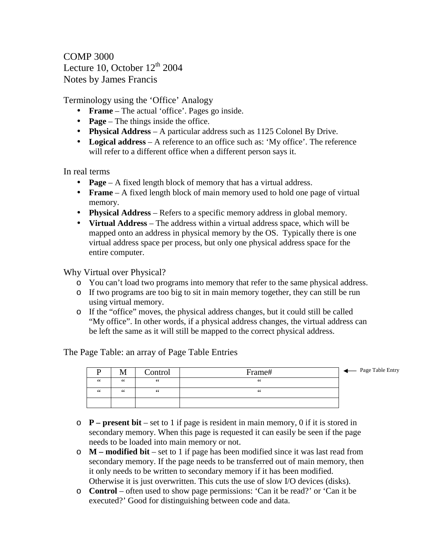COMP 3000 Lecture 10, October  $12^{th}$  2004 Notes by James Francis

Terminology using the 'Office' Analogy

- **Frame** The actual 'office'. Pages go inside.
- **Page** The things inside the office.
- **Physical Address** A particular address such as 1125 Colonel By Drive.
- **Logical address** A reference to an office such as: 'My office'. The reference will refer to a different office when a different person says it.

In real terms

- **Page** A fixed length block of memory that has a virtual address.
- **Frame** A fixed length block of main memory used to hold one page of virtual memory.
- **Physical Address** Refers to a specific memory address in global memory.
- **Virtual Address** The address within a virtual address space, which will be mapped onto an address in physical memory by the OS. Typically there is one virtual address space per process, but only one physical address space for the entire computer.

Why Virtual over Physical?

- o You can't load two programs into memory that refer to the same physical address.
- o If two programs are too big to sit in main memory together, they can still be run using virtual memory.
- o If the "office" moves, the physical address changes, but it could still be called "My office". In other words, if a physical address changes, the virtual address can be left the same as it will still be mapped to the correct physical address.

The Page Table: an array of Page Table Entries



- o **P – present bit** set to 1 if page is resident in main memory, 0 if it is stored in secondary memory. When this page is requested it can easily be seen if the page needs to be loaded into main memory or not.
- o **M – modified bit** set to 1 if page has been modified since it was last read from secondary memory. If the page needs to be transferred out of main memory, then it only needs to be written to secondary memory if it has been modified. Otherwise it is just overwritten. This cuts the use of slow I/O devices (disks).
- o **Control** often used to show page permissions: 'Can it be read?' or 'Can it be executed?' Good for distinguishing between code and data.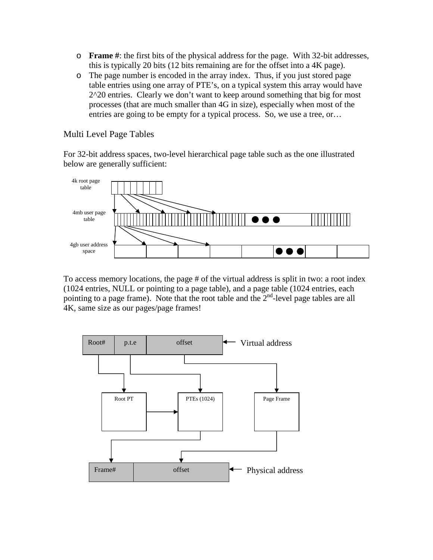- o **Frame #**: the first bits of the physical address for the page. With 32-bit addresses, this is typically 20 bits (12 bits remaining are for the offset into a 4K page).
- o The page number is encoded in the array index. Thus, if you just stored page table entries using one array of PTE's, on a typical system this array would have 2^20 entries. Clearly we don't want to keep around something that big for most processes (that are much smaller than 4G in size), especially when most of the entries are going to be empty for a typical process. So, we use a tree, or…

Multi Level Page Tables

For 32-bit address spaces, two-level hierarchical page table such as the one illustrated below are generally sufficient:



To access memory locations, the page # of the virtual address is split in two: a root index (1024 entries, NULL or pointing to a page table), and a page table (1024 entries, each pointing to a page frame). Note that the root table and the  $2<sup>nd</sup>$ -level page tables are all 4K, same size as our pages/page frames!

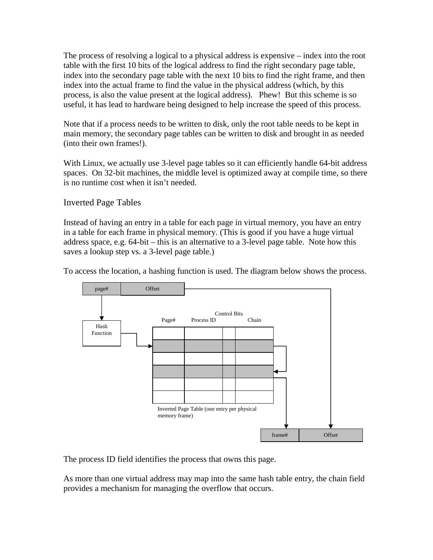The process of resolving a logical to a physical address is expensive – index into the root table with the first 10 bits of the logical address to find the right secondary page table, index into the secondary page table with the next 10 bits to find the right frame, and then index into the actual frame to find the value in the physical address (which, by this process, is also the value present at the logical address). Phew! But this scheme is so useful, it has lead to hardware being designed to help increase the speed of this process.

Note that if a process needs to be written to disk, only the root table needs to be kept in main memory, the secondary page tables can be written to disk and brought in as needed (into their own frames!).

With Linux, we actually use 3-level page tables so it can efficiently handle 64-bit address spaces. On 32-bit machines, the middle level is optimized away at compile time, so there is no runtime cost when it isn't needed.

Inverted Page Tables

Instead of having an entry in a table for each page in virtual memory, you have an entry in a table for each frame in physical memory. (This is good if you have a huge virtual address space, e.g. 64-bit – this is an alternative to a 3-level page table. Note how this saves a lookup step vs. a 3-level page table.)

To access the location, a hashing function is used. The diagram below shows the process.



The process ID field identifies the process that owns this page.

As more than one virtual address may map into the same hash table entry, the chain field provides a mechanism for managing the overflow that occurs.